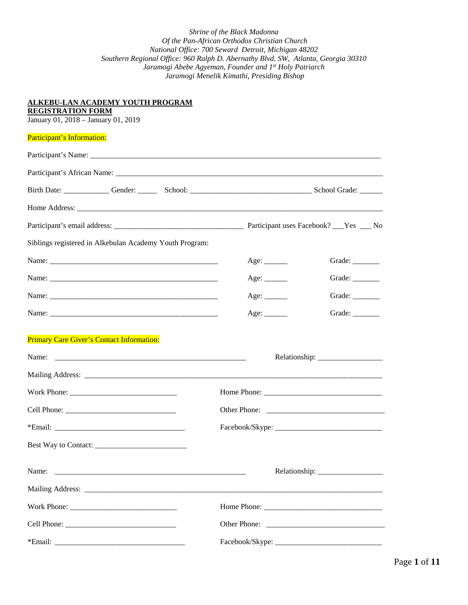| ALKEBU-LAN ACADEMY YOUTH PROGRAM<br><b>REGISTRATION FORM</b><br>January 01, 2018 - January 01, 2019                                                                                                                           |                |
|-------------------------------------------------------------------------------------------------------------------------------------------------------------------------------------------------------------------------------|----------------|
| Participant's Information:                                                                                                                                                                                                    |                |
| Participant's Name: experience and the set of the set of the set of the set of the set of the set of the set of the set of the set of the set of the set of the set of the set of the set of the set of the set of the set of |                |
|                                                                                                                                                                                                                               |                |
| Birth Date: Cambridge Conder: Cambridge Conder: Cambridge Conder: Conder School Grade:                                                                                                                                        |                |
|                                                                                                                                                                                                                               |                |
|                                                                                                                                                                                                                               |                |
| Siblings registered in Alkebulan Academy Youth Program:                                                                                                                                                                       |                |
| Name:                                                                                                                                                                                                                         | Grade: _______ |
|                                                                                                                                                                                                                               | Grade: ______  |
|                                                                                                                                                                                                                               | Grade: ______  |
|                                                                                                                                                                                                                               | Grade:         |
| <b>Primary Care Giver's Contact Information:</b>                                                                                                                                                                              |                |
|                                                                                                                                                                                                                               |                |
|                                                                                                                                                                                                                               |                |
|                                                                                                                                                                                                                               |                |
|                                                                                                                                                                                                                               |                |
|                                                                                                                                                                                                                               |                |
|                                                                                                                                                                                                                               |                |
| Name:                                                                                                                                                                                                                         |                |
| Mailing Address: Lawrence and Contact and Contact and Contact and Contact and Contact and Contact and Contact and Contact and Contact and Contact and Contact and Contact and Contact and Contact and Contact and Contact and |                |
|                                                                                                                                                                                                                               |                |
|                                                                                                                                                                                                                               |                |
|                                                                                                                                                                                                                               |                |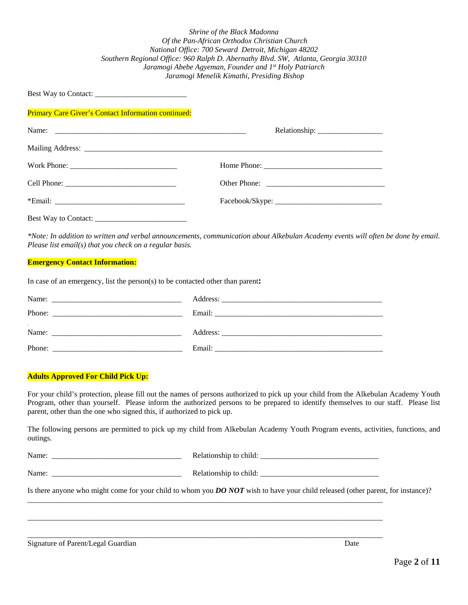Best Way to Contact:

Primary Care Giver's Contact Information continued:

*\*Note: In addition to written and verbal announcements, communication about Alkebulan Academy events will often be done by email. Please list email(s) that you check on a regular basis.*

#### **Emergency Contact Information:**

Best Way to Contact: \_\_\_\_\_\_\_\_\_\_\_\_\_\_\_\_\_\_\_\_\_\_\_\_

In case of an emergency, list the person(s) to be contacted other than parent**:**

| Name:  |                                                                                                                                                                                                                                |
|--------|--------------------------------------------------------------------------------------------------------------------------------------------------------------------------------------------------------------------------------|
| Phone: |                                                                                                                                                                                                                                |
| Name:  |                                                                                                                                                                                                                                |
| Phone: | Email: the contract of the contract of the contract of the contract of the contract of the contract of the contract of the contract of the contract of the contract of the contract of the contract of the contract of the con |

#### **Adults Approved For Child Pick Up:**

For your child's protection, please fill out the names of persons authorized to pick up your child from the Alkebulan Academy Youth Program, other than yourself. Please inform the authorized persons to be prepared to identify themselves to our staff. Please list parent, other than the one who signed this, if authorized to pick up.

The following persons are permitted to pick up my child from Alkebulan Academy Youth Program events, activities, functions, and outings.

| . . | $\overline{\phantom{a}}$ |  |
|-----|--------------------------|--|
|     |                          |  |

\_\_\_\_\_\_\_\_\_\_\_\_\_\_\_\_\_\_\_\_\_\_\_\_\_\_\_\_\_\_\_\_\_\_\_\_\_\_\_\_\_\_\_\_\_\_\_\_\_\_\_\_\_\_\_\_\_\_\_\_\_\_\_\_\_\_\_\_\_\_\_\_\_\_\_\_\_\_\_\_\_\_\_\_\_\_\_\_\_\_\_\_\_

 $\_$  ,  $\_$  ,  $\_$  ,  $\_$  ,  $\_$  ,  $\_$  ,  $\_$  ,  $\_$  ,  $\_$  ,  $\_$  ,  $\_$  ,  $\_$  ,  $\_$  ,  $\_$  ,  $\_$  ,  $\_$  ,  $\_$  ,  $\_$  ,  $\_$  ,  $\_$  ,  $\_$  ,  $\_$  ,  $\_$  ,  $\_$  ,  $\_$  ,  $\_$  ,  $\_$  ,  $\_$  ,  $\_$  ,  $\_$  ,  $\_$  ,  $\_$  ,  $\_$  ,  $\_$  ,  $\_$  ,  $\_$  ,  $\_$  ,

\_\_\_\_\_\_\_\_\_\_\_\_\_\_\_\_\_\_\_\_\_\_\_\_\_\_\_\_\_\_\_\_\_\_\_\_\_\_\_\_\_\_\_\_\_\_\_\_\_\_\_\_\_\_\_\_\_\_\_\_\_\_\_\_\_\_\_\_\_\_\_\_\_\_\_\_\_\_\_\_\_\_\_\_\_\_\_\_\_\_\_\_\_

| Name. |  | . .<br>ъh.<br>LА<br>лши |  |
|-------|--|-------------------------|--|
|-------|--|-------------------------|--|

Is there anyone who might come for your child to whom you *DO NOT* wish to have your child released (other parent, for instance)?

Signature of Parent/Legal Guardian Date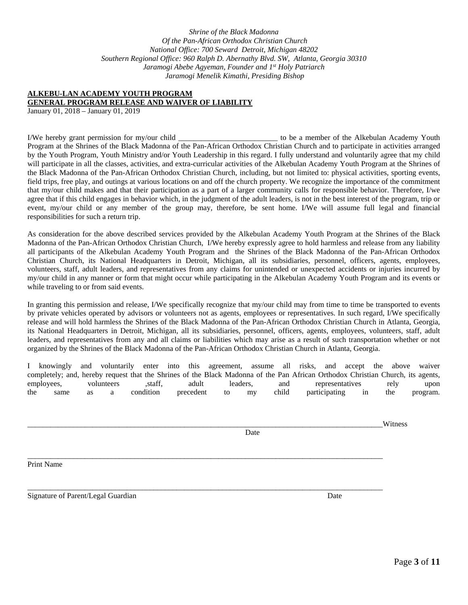#### **ALKEBU-LAN ACADEMY YOUTH PROGRAM GENERAL PROGRAM RELEASE AND WAIVER OF LIABILITY**

January 01, 2018 – January 01, 2019

I/We hereby grant permission for my/our child \_\_\_\_\_\_\_\_\_\_\_\_\_\_\_\_\_\_\_\_\_\_\_\_\_\_ to be a member of the Alkebulan Academy Youth Program at the Shrines of the Black Madonna of the Pan-African Orthodox Christian Church and to participate in activities arranged by the Youth Program, Youth Ministry and/or Youth Leadership in this regard. I fully understand and voluntarily agree that my child will participate in all the classes, activities, and extra-curricular activities of the Alkebulan Academy Youth Program at the Shrines of the Black Madonna of the Pan-African Orthodox Christian Church, including, but not limited to: physical activities, sporting events, field trips, free play, and outings at various locations on and off the church property. We recognize the importance of the commitment that my/our child makes and that their participation as a part of a larger community calls for responsible behavior. Therefore, I/we agree that if this child engages in behavior which, in the judgment of the adult leaders, is not in the best interest of the program, trip or event, my/our child or any member of the group may, therefore, be sent home. I/We will assume full legal and financial responsibilities for such a return trip.

As consideration for the above described services provided by the Alkebulan Academy Youth Program at the Shrines of the Black Madonna of the Pan-African Orthodox Christian Church, I/We hereby expressly agree to hold harmless and release from any liability all participants of the Alkebulan Academy Youth Program and the Shrines of the Black Madonna of the Pan-African Orthodox Christian Church, its National Headquarters in Detroit, Michigan, all its subsidiaries, personnel, officers, agents, employees, volunteers, staff, adult leaders, and representatives from any claims for unintended or unexpected accidents or injuries incurred by my/our child in any manner or form that might occur while participating in the Alkebulan Academy Youth Program and its events or while traveling to or from said events.

In granting this permission and release, I/We specifically recognize that my/our child may from time to time be transported to events by private vehicles operated by advisors or volunteers not as agents, employees or representatives. In such regard, I/We specifically release and will hold harmless the Shrines of the Black Madonna of the Pan-African Orthodox Christian Church in Atlanta, Georgia, its National Headquarters in Detroit, Michigan, all its subsidiaries, personnel, officers, agents, employees, volunteers, staff, adult leaders, and representatives from any and all claims or liabilities which may arise as a result of such transportation whether or not organized by the Shrines of the Black Madonna of the Pan-African Orthodox Christian Church in Atlanta, Georgia.

I knowingly and voluntarily enter into this agreement, assume all risks, and accept the above waiver completely; and, hereby request that the Shrines of the Black Madonna of the Pan African Orthodox Christian Church, its agents, employees, volunteers ,staff, adult leaders, and representatives rely upon the same as a condition precedent to my child participating in the program.

\_\_\_\_\_\_\_\_\_\_\_\_\_\_\_\_\_\_\_\_\_\_\_\_\_\_\_\_\_\_\_\_\_\_\_\_\_\_\_\_\_\_\_\_\_\_\_\_\_\_\_\_\_\_\_\_\_\_\_\_\_\_\_\_\_\_\_\_\_\_\_\_\_\_\_\_\_\_\_\_\_\_\_\_\_\_\_\_\_\_\_\_\_Witness

\_\_\_\_\_\_\_\_\_\_\_\_\_\_\_\_\_\_\_\_\_\_\_\_\_\_\_\_\_\_\_\_\_\_\_\_\_\_\_\_\_\_\_\_\_\_\_\_\_\_\_\_\_\_\_\_\_\_\_\_\_\_\_\_\_\_\_\_\_\_\_\_\_\_\_\_\_\_\_\_\_\_\_\_\_\_\_\_\_\_\_\_\_

\_\_\_\_\_\_\_\_\_\_\_\_\_\_\_\_\_\_\_\_\_\_\_\_\_\_\_\_\_\_\_\_\_\_\_\_\_\_\_\_\_\_\_\_\_\_\_\_\_\_\_\_\_\_\_\_\_\_\_\_\_\_\_\_\_\_\_\_\_\_\_\_\_\_\_\_\_\_\_\_\_\_\_\_\_\_\_\_\_\_\_\_\_

Date

Print Name

Signature of Parent/Legal Guardian Date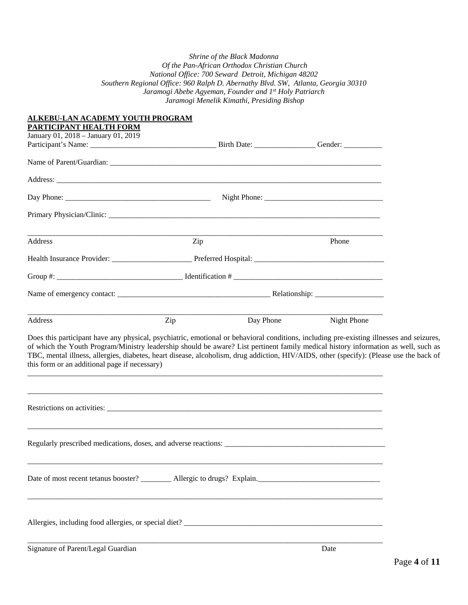| ALKEBU-LAN ACADEMY YOUTH PROGRAM<br>PARTICIPANT HEALTH FORM                                                                                                                                                                                                                                                                                                                                                                                                                |     |           |                    |  |
|----------------------------------------------------------------------------------------------------------------------------------------------------------------------------------------------------------------------------------------------------------------------------------------------------------------------------------------------------------------------------------------------------------------------------------------------------------------------------|-----|-----------|--------------------|--|
| January 01, 2018 - January 01, 2019                                                                                                                                                                                                                                                                                                                                                                                                                                        |     |           |                    |  |
|                                                                                                                                                                                                                                                                                                                                                                                                                                                                            |     |           |                    |  |
|                                                                                                                                                                                                                                                                                                                                                                                                                                                                            |     |           |                    |  |
|                                                                                                                                                                                                                                                                                                                                                                                                                                                                            |     |           |                    |  |
|                                                                                                                                                                                                                                                                                                                                                                                                                                                                            |     |           |                    |  |
|                                                                                                                                                                                                                                                                                                                                                                                                                                                                            |     |           |                    |  |
| Address                                                                                                                                                                                                                                                                                                                                                                                                                                                                    | Zip |           | Phone              |  |
|                                                                                                                                                                                                                                                                                                                                                                                                                                                                            |     |           |                    |  |
|                                                                                                                                                                                                                                                                                                                                                                                                                                                                            |     |           |                    |  |
|                                                                                                                                                                                                                                                                                                                                                                                                                                                                            |     |           |                    |  |
| Address                                                                                                                                                                                                                                                                                                                                                                                                                                                                    | Zip | Day Phone | <b>Night Phone</b> |  |
| Does this participant have any physical, psychiatric, emotional or behavioral conditions, including pre-existing illnesses and seizures,<br>of which the Youth Program/Ministry leadership should be aware? List pertinent family medical history information as well, such as<br>TBC, mental illness, allergies, diabetes, heart disease, alcoholism, drug addiction, HIV/AIDS, other (specify): (Please use the back of<br>this form or an additional page if necessary) |     |           |                    |  |
|                                                                                                                                                                                                                                                                                                                                                                                                                                                                            |     |           |                    |  |
| Regularly prescribed medications, doses, and adverse reactions:                                                                                                                                                                                                                                                                                                                                                                                                            |     |           |                    |  |
|                                                                                                                                                                                                                                                                                                                                                                                                                                                                            |     |           |                    |  |
| Allergies, including food allergies, or special diet?                                                                                                                                                                                                                                                                                                                                                                                                                      |     |           |                    |  |
| Signature of Parent/Legal Guardian                                                                                                                                                                                                                                                                                                                                                                                                                                         |     |           | Date               |  |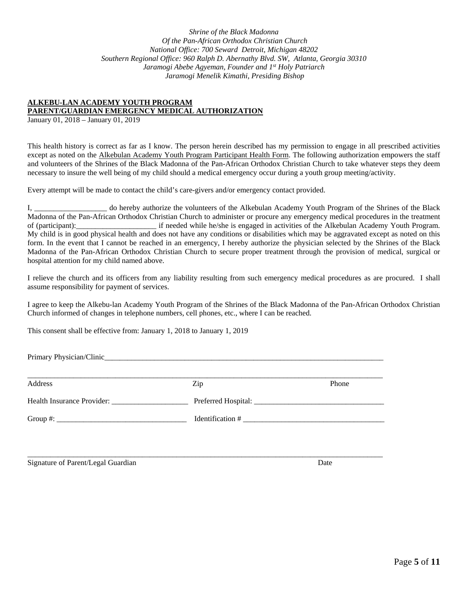#### **ALKEBU-LAN ACADEMY YOUTH PROGRAM PARENT/GUARDIAN EMERGENCY MEDICAL AUTHORIZATION**

January 01, 2018 – January 01, 2019

This health history is correct as far as I know. The person herein described has my permission to engage in all prescribed activities except as noted on the Alkebulan Academy Youth Program Participant Health Form. The following authorization empowers the staff and volunteers of the Shrines of the Black Madonna of the Pan-African Orthodox Christian Church to take whatever steps they deem necessary to insure the well being of my child should a medical emergency occur during a youth group meeting/activity.

Every attempt will be made to contact the child's care-givers and/or emergency contact provided.

I, do hereby authorize the volunteers of the Alkebulan Academy Youth Program of the Shrines of the Black Madonna of the Pan-African Orthodox Christian Church to administer or procure any emergency medical procedures in the treatment of (participant): if needed while he/she is engaged in activities of the Alkebulan Academy Youth Program. My child is in good physical health and does not have any conditions or disabilities which may be aggravated except as noted on this form. In the event that I cannot be reached in an emergency, I hereby authorize the physician selected by the Shrines of the Black Madonna of the Pan-African Orthodox Christian Church to secure proper treatment through the provision of medical, surgical or hospital attention for my child named above.

I relieve the church and its officers from any liability resulting from such emergency medical procedures as are procured. I shall assume responsibility for payment of services.

I agree to keep the Alkebu-lan Academy Youth Program of the Shrines of the Black Madonna of the Pan-African Orthodox Christian Church informed of changes in telephone numbers, cell phones, etc., where I can be reached.

This consent shall be effective from: January 1, 2018 to January 1, 2019

Primary Physician/Clinic\_

| Address | Zip              | Phone |
|---------|------------------|-------|
|         |                  |       |
|         | Identification # |       |
|         |                  |       |
|         |                  |       |

Signature of Parent/Legal Guardian Date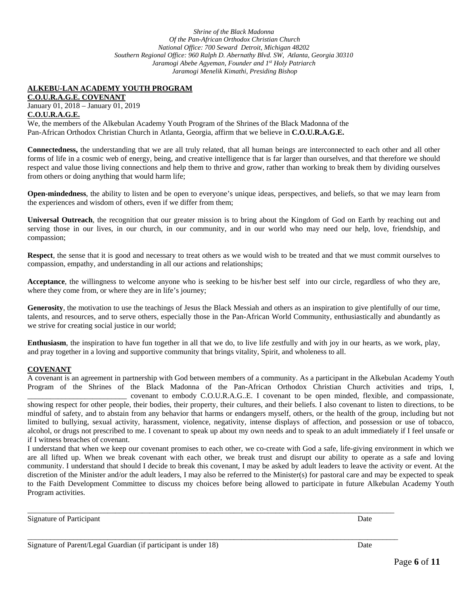### **ALKEBU-LAN ACADEMY YOUTH PROGRAM**

**C.O.U.R.A.G.E. COVENANT** January 01, 2018 – January 01, 2019 **C.O.U.R.A.G.E.**

We, the members of the Alkebulan Academy Youth Program of the Shrines of the Black Madonna of the Pan-African Orthodox Christian Church in Atlanta, Georgia, affirm that we believe in **C.O.U.R.A.G.E.**

**Connectedness,** the understanding that we are all truly related, that all human beings are interconnected to each other and all other forms of life in a cosmic web of energy, being, and creative intelligence that is far larger than ourselves, and that therefore we should respect and value those living connections and help them to thrive and grow, rather than working to break them by dividing ourselves from others or doing anything that would harm life;

**Open-mindedness**, the ability to listen and be open to everyone's unique ideas, perspectives, and beliefs, so that we may learn from the experiences and wisdom of others, even if we differ from them;

**Universal Outreach**, the recognition that our greater mission is to bring about the Kingdom of God on Earth by reaching out and serving those in our lives, in our church, in our community, and in our world who may need our help, love, friendship, and compassion;

**Respect**, the sense that it is good and necessary to treat others as we would wish to be treated and that we must commit ourselves to compassion, empathy, and understanding in all our actions and relationships;

**Acceptance**, the willingness to welcome anyone who is seeking to be his/her best self into our circle, regardless of who they are, where they come from, or where they are in life's journey;

**Generosity**, the motivation to use the teachings of Jesus the Black Messiah and others as an inspiration to give plentifully of our time, talents, and resources, and to serve others, especially those in the Pan-African World Community, enthusiastically and abundantly as we strive for creating social justice in our world;

**Enthusiasm**, the inspiration to have fun together in all that we do, to live life zestfully and with joy in our hearts, as we work, play, and pray together in a loving and supportive community that brings vitality, Spirit, and wholeness to all.

#### **COVENANT**

A covenant is an agreement in partnership with God between members of a community. As a participant in the Alkebulan Academy Youth Program of the Shrines of the Black Madonna of the Pan-African Orthodox Christian Church activities and trips, I, \_\_\_\_\_\_\_\_\_\_\_\_\_\_\_\_\_\_\_\_\_\_\_\_\_\_ covenant to embody C.O.U.R.A.G..E. I covenant to be open minded, flexible, and compassionate, showing respect for other people, their bodies, their property, their cultures, and their beliefs. I also covenant to listen to directions, to be mindful of safety, and to abstain from any behavior that harms or endangers myself, others, or the health of the group, including but not limited to bullying, sexual activity, harassment, violence, negativity, intense displays of affection, and possession or use of tobacco, alcohol, or drugs not prescribed to me. I covenant to speak up about my own needs and to speak to an adult immediately if I feel unsafe or if I witness breaches of covenant.

I understand that when we keep our covenant promises to each other, we co-create with God a safe, life-giving environment in which we are all lifted up. When we break covenant with each other, we break trust and disrupt our ability to operate as a safe and loving community. I understand that should I decide to break this covenant, I may be asked by adult leaders to leave the activity or event. At the discretion of the Minister and/or the adult leaders, I may also be referred to the Minister(s) for pastoral care and may be expected to speak to the Faith Development Committee to discuss my choices before being allowed to participate in future Alkebulan Academy Youth Program activities.

\_\_\_\_\_\_\_\_\_\_\_\_\_\_\_\_\_\_\_\_\_\_\_\_\_\_\_\_\_\_\_\_\_\_\_\_\_\_\_\_\_\_\_\_\_\_\_\_\_\_\_\_\_\_\_\_\_\_\_\_\_\_\_\_\_\_\_\_\_\_\_\_\_\_\_\_\_\_\_\_\_\_\_\_\_\_\_\_\_\_\_\_\_\_\_\_

\_\_\_\_\_\_\_\_\_\_\_\_\_\_\_\_\_\_\_\_\_\_\_\_\_\_\_\_\_\_\_\_\_\_\_\_\_\_\_\_\_\_\_\_\_\_\_\_\_\_\_\_\_\_\_\_\_\_\_\_\_\_\_\_\_\_\_\_\_\_\_\_\_\_\_\_\_\_\_\_\_\_\_\_\_\_\_\_\_\_\_\_\_\_\_\_\_

Signature of Participant Date  $\Box$ 

| Signature of Parent/Legal Guardian (if participant is under 18) | Date |
|-----------------------------------------------------------------|------|
|-----------------------------------------------------------------|------|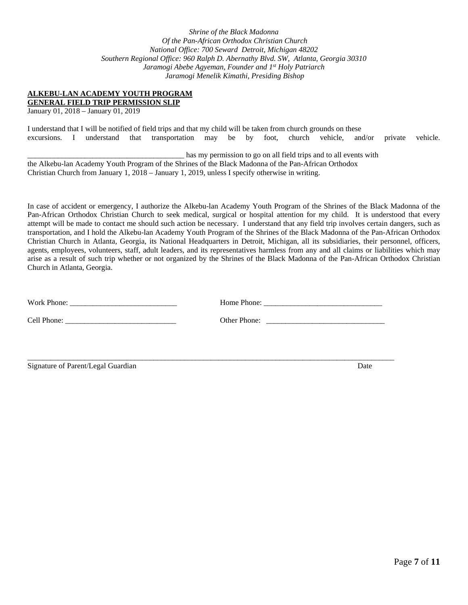#### **ALKEBU-LAN ACADEMY YOUTH PROGRAM**

**GENERAL FIELD TRIP PERMISSION SLIP**

January 01, 2018 – January 01, 2019

I understand that I will be notified of field trips and that my child will be taken from church grounds on these excursions. I understand that transportation may be by foot, church vehicle, and/or private vehicle.

\_\_\_\_\_\_\_\_\_\_\_\_\_\_\_\_\_\_\_\_\_\_\_\_\_\_\_\_\_\_\_\_\_\_\_\_\_\_\_\_\_ has my permission to go on all field trips and to all events with the Alkebu-lan Academy Youth Program of the Shrines of the Black Madonna of the Pan-African Orthodox Christian Church from January 1, 2018 – January 1, 2019, unless I specify otherwise in writing.

In case of accident or emergency, I authorize the Alkebu-lan Academy Youth Program of the Shrines of the Black Madonna of the Pan-African Orthodox Christian Church to seek medical, surgical or hospital attention for my child. It is understood that every attempt will be made to contact me should such action be necessary. I understand that any field trip involves certain dangers, such as transportation, and I hold the Alkebu-lan Academy Youth Program of the Shrines of the Black Madonna of the Pan-African Orthodox Christian Church in Atlanta, Georgia, its National Headquarters in Detroit, Michigan, all its subsidiaries, their personnel, officers, agents, employees, volunteers, staff, adult leaders, and its representatives harmless from any and all claims or liabilities which may arise as a result of such trip whether or not organized by the Shrines of the Black Madonna of the Pan-African Orthodox Christian Church in Atlanta, Georgia.

| Work Phone:            |  |
|------------------------|--|
| Cell Phone: $\sqrt{ }$ |  |
|                        |  |
|                        |  |
|                        |  |

Signature of Parent/Legal Guardian Date and School and School and Date Date and Date Date Date and Date Date and Date Date and Date and Date and Date and Date and Date and Date and Date and Date and Date and Date and Date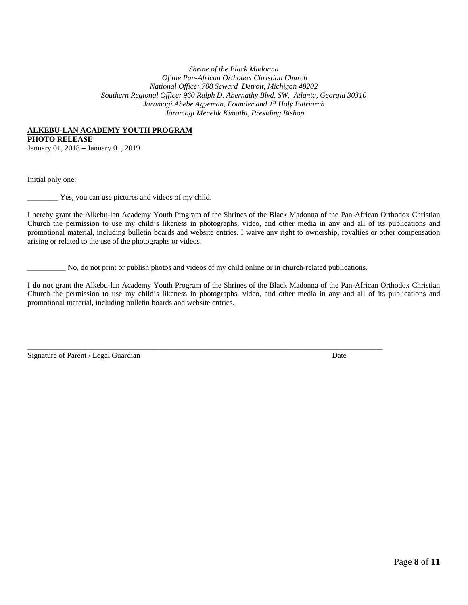#### **ALKEBU-LAN ACADEMY YOUTH PROGRAM**

**PHOTO RELEASE** 

January 01, 2018 – January 01, 2019

Initial only one:

\_\_\_\_\_\_\_\_ Yes, you can use pictures and videos of my child.

I hereby grant the Alkebu-lan Academy Youth Program of the Shrines of the Black Madonna of the Pan-African Orthodox Christian Church the permission to use my child's likeness in photographs, video, and other media in any and all of its publications and promotional material, including bulletin boards and website entries. I waive any right to ownership, royalties or other compensation arising or related to the use of the photographs or videos.

\_\_\_\_\_\_\_\_\_\_ No, do not print or publish photos and videos of my child online or in church-related publications.

 $\_$  ,  $\_$  ,  $\_$  ,  $\_$  ,  $\_$  ,  $\_$  ,  $\_$  ,  $\_$  ,  $\_$  ,  $\_$  ,  $\_$  ,  $\_$  ,  $\_$  ,  $\_$  ,  $\_$  ,  $\_$  ,  $\_$  ,  $\_$  ,  $\_$  ,  $\_$  ,  $\_$  ,  $\_$  ,  $\_$  ,  $\_$  ,  $\_$  ,  $\_$  ,  $\_$  ,  $\_$  ,  $\_$  ,  $\_$  ,  $\_$  ,  $\_$  ,  $\_$  ,  $\_$  ,  $\_$  ,  $\_$  ,  $\_$  ,

I **do not** grant the Alkebu-lan Academy Youth Program of the Shrines of the Black Madonna of the Pan-African Orthodox Christian Church the permission to use my child's likeness in photographs, video, and other media in any and all of its publications and promotional material, including bulletin boards and website entries.

Signature of Parent / Legal Guardian Date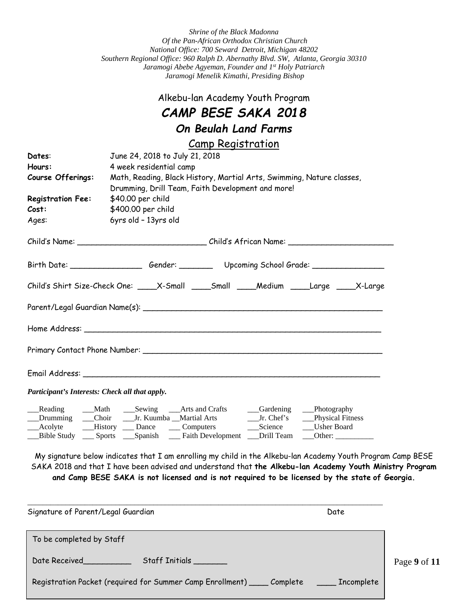### Alkebu-lan Academy Youth Program

## *CAMP BESE SAKA 2018*

# *On Beulah Land Farms*

### Camp Registration

| Math, Reading, Black History, Martial Arts, Swimming, Nature classes,                                                                                                                                                          |
|--------------------------------------------------------------------------------------------------------------------------------------------------------------------------------------------------------------------------------|
|                                                                                                                                                                                                                                |
|                                                                                                                                                                                                                                |
|                                                                                                                                                                                                                                |
|                                                                                                                                                                                                                                |
|                                                                                                                                                                                                                                |
| Child's Name: __________________________________Child's African Name: ______________________________                                                                                                                           |
|                                                                                                                                                                                                                                |
| Child's Shirt Size-Check One: ____X-Small ____Small ____Medium ____Large ____X-Large                                                                                                                                           |
|                                                                                                                                                                                                                                |
|                                                                                                                                                                                                                                |
|                                                                                                                                                                                                                                |
| Email Address: Email Address: Annual Secretary of the Contract of the Contract of the Contract of the Contract of the Contract of the Contract of the Contract of the Contract of the Contract of the Contract of the Contract |
|                                                                                                                                                                                                                                |
|                                                                                                                                                                                                                                |
| Drumming Choir Jr. Kuumba Martial Arts Jr. Chef's Physical Fitness<br>Acolyte History Dance Computers Science Usher Board                                                                                                      |
| __Bible Study ___ Sports ___Spanish ___Faith Development ___Drill Team ___Other: _________                                                                                                                                     |
|                                                                                                                                                                                                                                |

**and Camp BESE SAKA is not licensed and is not required to be licensed by the state of Georgia.**

| Signature of Parent/Legal Guardian                                                                                                                                                                                                               | Date       |              |
|--------------------------------------------------------------------------------------------------------------------------------------------------------------------------------------------------------------------------------------------------|------------|--------------|
| To be completed by Staff                                                                                                                                                                                                                         |            |              |
| Staff Initials<br>Date Received and the state of the state of the state of the state of the state of the state of the state of the state of the state of the state of the state of the state of the state of the state of the state of the state |            | Page 9 of 11 |
| Registration Packet (required for Summer Camp Enrollment) _____ Complete                                                                                                                                                                         | Incomplete |              |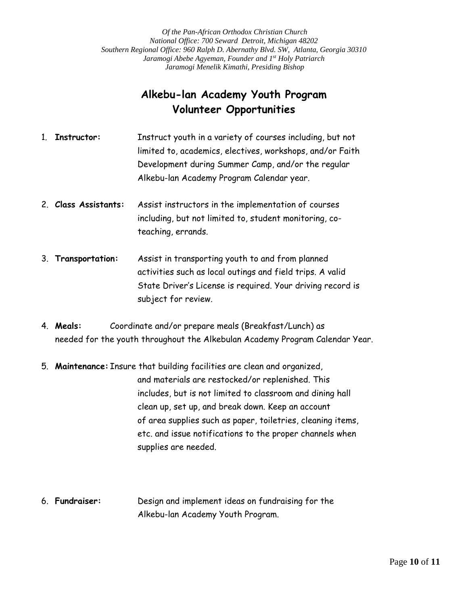## **Alkebu-lan Academy Youth Program Volunteer Opportunities**

- 1. **Instructor:** Instruct youth in a variety of courses including, but not limited to, academics, electives, workshops, and/or Faith Development during Summer Camp, and/or the regular Alkebu-lan Academy Program Calendar year.
- 2. **Class Assistants:** Assist instructors in the implementation of courses including, but not limited to, student monitoring, coteaching, errands.
- 3. **Transportation:** Assist in transporting youth to and from planned activities such as local outings and field trips. A valid State Driver's License is required. Your driving record is subject for review.
- 4. **Meals:** Coordinate and/or prepare meals (Breakfast/Lunch) as needed for the youth throughout the Alkebulan Academy Program Calendar Year.
- 5. **Maintenance:** Insure that building facilities are clean and organized, and materials are restocked/or replenished. This includes, but is not limited to classroom and dining hall clean up, set up, and break down. Keep an account of area supplies such as paper, toiletries, cleaning items, etc. and issue notifications to the proper channels when supplies are needed.
- 6. **Fundraiser:** Design and implement ideas on fundraising for the Alkebu-lan Academy Youth Program.